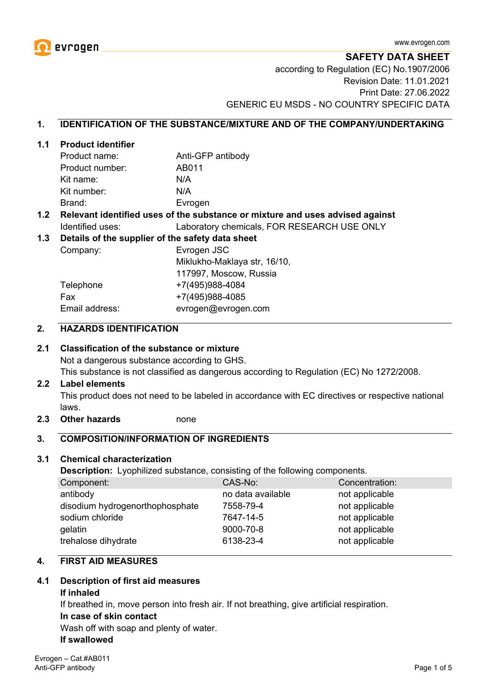

**SAFETY DATA SHEET** according to Regulation (EC) No.1907/2006 Revision Date: 11.01.2021 Print Date: 27.06.2022 GENERIC EU MSDS - NO COUNTRY SPECIFIC DATA

# **1. IDENTIFICATION OF THE SUBSTANCE/MIXTURE AND OF THE COMPANY/UNDERTAKING**

#### **1.1 Product identifier**

| Product name:   | Anti-GFP antibody |
|-----------------|-------------------|
| Product number: | AB011             |
| Kit name:       | N/A               |
| Kit number:     | N/A               |
| Brand:          | Evrogen           |

## **1.2 Relevant identified uses of the substance or mixture and uses advised against** Identified uses: Laboratory chemicals, FOR RESEARCH USE ONLY

#### **1.3 Details of the supplier of the safety data sheet**

Company: Evrogen JSC Miklukho-Maklaya str, 16/10, 117997, Moscow, Russia Telephone +7(495)988-4084 Fax +7(495)988-4085 Email address: evrogen@evrogen.com

# **2. HAZARDS IDENTIFICATION**

## **2.1 Classification of the substance or mixture**

Not a dangerous substance according to GHS.

This substance is not classified as dangerous according to Regulation (EC) No 1272/2008.

#### **2.2 Label elements**

This product does not need to be labeled in accordance with EC directives or respective national laws.

**2.3 Other hazards** none

#### **3. COMPOSITION/INFORMATION OF INGREDIENTS**

#### **3.1 Chemical characterization**

**Description:** Lyophilized substance, consisting of the following components.

| Component:                      | CAS-No:           | Concentration: |
|---------------------------------|-------------------|----------------|
| antibody                        | no data available | not applicable |
| disodium hydrogenorthophosphate | 7558-79-4         | not applicable |
| sodium chloride                 | 7647-14-5         | not applicable |
| gelatin                         | 9000-70-8         | not applicable |
| trehalose dihydrate             | 6138-23-4         | not applicable |

# **4. FIRST AID MEASURES**

## **4.1 Description of first aid measures**

#### **If inhaled**

If breathed in, move person into fresh air. If not breathing, give artificial respiration.

#### **In case of skin contact**

Wash off with soap and plenty of water.

#### **If swallowed**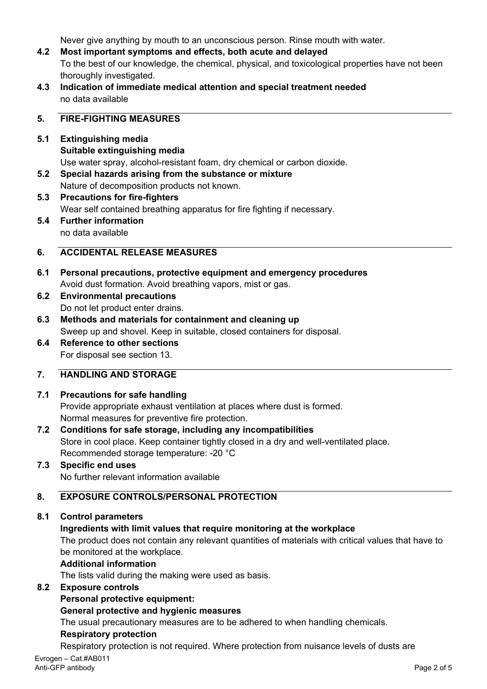Never give anything by mouth to an unconscious person. Rinse mouth with water.

- **4.2 Most important symptoms and effects, both acute and delayed** To the best of our knowledge, the chemical, physical, and toxicological properties have not been thoroughly investigated.
- **4.3 Indication of immediate medical attention and special treatment needed** no data available

# **5. FIRE-FIGHTING MEASURES**

- **5.1 Extinguishing media Suitable extinguishing media** Use water spray, alcohol-resistant foam, dry chemical or carbon dioxide.
- **5.2 Special hazards arising from the substance or mixture** Nature of decomposition products not known.
- **5.3 Precautions for fire-fighters** Wear self contained breathing apparatus for fire fighting if necessary. **5.4 Further information**
	- no data available

# **6. ACCIDENTAL RELEASE MEASURES**

- **6.1 Personal precautions, protective equipment and emergency procedures** Avoid dust formation. Avoid breathing vapors, mist or gas.
- **6.2 Environmental precautions** Do not let product enter drains.
- **6.3 Methods and materials for containment and cleaning up** Sweep up and shovel. Keep in suitable, closed containers for disposal.
- **6.4 Reference to other sections** For disposal see section 13.

# **7. HANDLING AND STORAGE**

# **7.1 Precautions for safe handling**

Provide appropriate exhaust ventilation at places where dust is formed. Normal measures for preventive fire protection.

- **7.2 Conditions for safe storage, including any incompatibilities** Store in cool place. Keep container tightly closed in a dry and well-ventilated place. Recommended storage temperature: -20 °C
- **7.3 Specific end uses** No further relevant information available

# **8. EXPOSURE CONTROLS/PERSONAL PROTECTION**

**8.1 Control parameters**

# **Ingredients with limit values that require monitoring at the workplace**

The product does not contain any relevant quantities of materials with critical values that have to be monitored at the workplace.

## **Additional information**

The lists valid during the making were used as basis.

# **8.2 Exposure controls**

**Personal protective equipment:**

## **General protective and hygienic measures**

The usual precautionary measures are to be adhered to when handling chemicals.

# **Respiratory protection**

Respiratory protection is not required. Where protection from nuisance levels of dusts are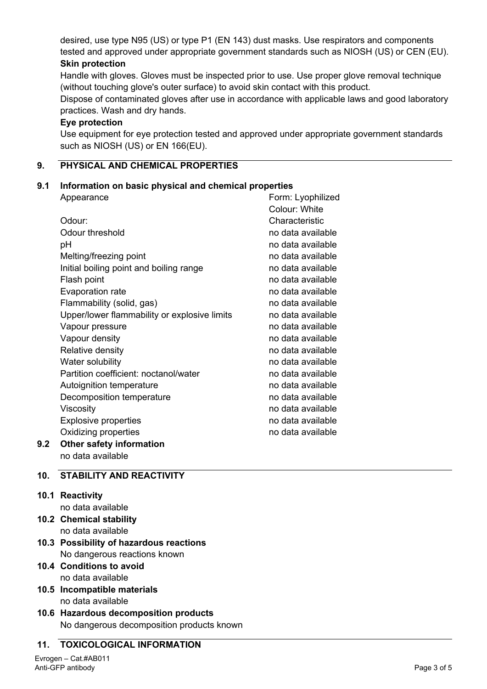desired, use type N95 (US) or type P1 (EN 143) dust masks. Use respirators and components tested and approved under appropriate government standards such as NIOSH (US) or CEN (EU). **Skin protection**

Handle with gloves. Gloves must be inspected prior to use. Use proper glove removal technique (without touching glove's outer surface) to avoid skin contact with this product.

Dispose of contaminated gloves after use in accordance with applicable laws and good laboratory practices. Wash and dry hands.

## **Eye protection**

Use equipment for eye protection tested and approved under appropriate government standards such as NIOSH (US) or EN 166(EU).

# **9. PHYSICAL AND CHEMICAL PROPERTIES**

# **9.1 Information on basic physical and chemical properties**

|     | Appearance                                   | Form: Lyophilized |
|-----|----------------------------------------------|-------------------|
|     |                                              | Colour: White     |
|     | Odour:                                       | Characteristic    |
|     | Odour threshold                              | no data available |
|     | рH                                           | no data available |
|     | Melting/freezing point                       | no data available |
|     | Initial boiling point and boiling range      | no data available |
|     | Flash point                                  | no data available |
|     | Evaporation rate                             | no data available |
|     | Flammability (solid, gas)                    | no data available |
|     | Upper/lower flammability or explosive limits | no data available |
|     | Vapour pressure                              | no data available |
|     | Vapour density                               | no data available |
|     | Relative density                             | no data available |
|     | Water solubility                             | no data available |
|     | Partition coefficient: noctanol/water        | no data available |
|     | Autoignition temperature                     | no data available |
|     | Decomposition temperature                    | no data available |
|     | Viscosity                                    | no data available |
|     | <b>Explosive properties</b>                  | no data available |
|     | Oxidizing properties                         | no data available |
| 9.2 | Other safety information                     |                   |
|     | no data available                            |                   |

# **10. STABILITY AND REACTIVITY**

**10.1 Reactivity**

no data available

- **10.2 Chemical stability** no data available
- **10.3 Possibility of hazardous reactions** No dangerous reactions known
- **10.4 Conditions to avoid** no data available
- **10.5 Incompatible materials** no data available
- **10.6 Hazardous decomposition products** No dangerous decomposition products known

## **11. TOXICOLOGICAL INFORMATION**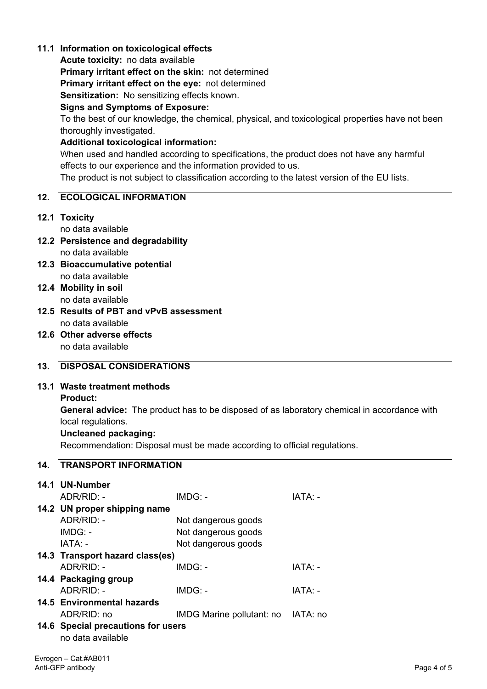# **11.1 Information on toxicological effects**

**Acute toxicity:** no data available

**Primary irritant effect on the skin:** not determined

**Primary irritant effect on the eye:** not determined

**Sensitization:** No sensitizing effects known.

## **Signs and Symptoms of Exposure:**

To the best of our knowledge, the chemical, physical, and toxicological properties have not been thoroughly investigated.

# **Additional toxicological information:**

When used and handled according to specifications, the product does not have any harmful effects to our experience and the information provided to us.

The product is not subject to classification according to the latest version of the EU lists.

# **12. ECOLOGICAL INFORMATION**

## **12.1 Toxicity**

no data available

- **12.2 Persistence and degradability** no data available
- **12.3 Bioaccumulative potential** no data available
- **12.4 Mobility in soil** no data available
- **12.5 Results of PBT and vPvB assessment** no data available
- **12.6 Other adverse effects** no data available

# **13. DISPOSAL CONSIDERATIONS**

## **13.1 Waste treatment methods**

## **Product:**

**General advice:** The product has to be disposed of as laboratory chemical in accordance with local regulations.

## **Uncleaned packaging:**

Recommendation: Disposal must be made according to official regulations.

| <b>14. TRANSPORT INFORMATION</b>                        |                           |          |  |  |
|---------------------------------------------------------|---------------------------|----------|--|--|
| 14.1 UN-Number                                          |                           |          |  |  |
| ADR/RID: -                                              | IMDG: -                   | IATA: -  |  |  |
| 14.2 UN proper shipping name                            |                           |          |  |  |
| ADR/RID: -                                              | Not dangerous goods       |          |  |  |
| $IMDG: -$                                               | Not dangerous goods       |          |  |  |
| IATA: -                                                 | Not dangerous goods       |          |  |  |
| 14.3 Transport hazard class(es)                         |                           |          |  |  |
| ADR/RID: -                                              | IMDG: -                   | IATA: -  |  |  |
| 14.4 Packaging group                                    |                           |          |  |  |
| ADR/RID: -                                              | $IMDG: -$                 | IATA: -  |  |  |
| <b>14.5 Environmental hazards</b>                       |                           |          |  |  |
| ADR/RID: no                                             | IMDG Marine pollutant: no | IATA: no |  |  |
| 14.6 Special precautions for users<br>no data available |                           |          |  |  |